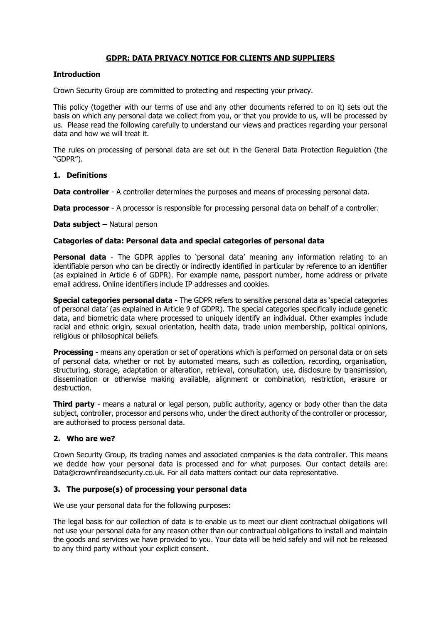## **GDPR: DATA PRIVACY NOTICE FOR CLIENTS AND SUPPLIERS**

#### **Introduction**

Crown Security Group are committed to protecting and respecting your privacy.

This policy (together with our terms of use and any other documents referred to on it) sets out the basis on which any personal data we collect from you, or that you provide to us, will be processed by us. Please read the following carefully to understand our views and practices regarding your personal data and how we will treat it.

The rules on processing of personal data are set out in the General Data Protection Regulation (the "GDPR").

# **1. Definitions**

**Data controller** - A controller determines the purposes and means of processing personal data.

**Data processor** - A processor is responsible for processing personal data on behalf of a controller.

#### **Data subject –** Natural person

#### **Categories of data: Personal data and special categories of personal data**

**Personal data** - The GDPR applies to 'personal data' meaning any information relating to an identifiable person who can be directly or indirectly identified in particular by reference to an identifier (as explained in Article 6 of GDPR). For example name, passport number, home address or private email address. Online identifiers include IP addresses and cookies.

**Special categories personal data -** The GDPR refers to sensitive personal data as 'special categories of personal data' (as explained in Article 9 of GDPR). The special categories specifically include genetic data, and biometric data where processed to uniquely identify an individual. Other examples include racial and ethnic origin, sexual orientation, health data, trade union membership, political opinions, religious or philosophical beliefs.

**Processing -** means any operation or set of operations which is performed on personal data or on sets of personal data, whether or not by automated means, such as collection, recording, organisation, structuring, storage, adaptation or alteration, retrieval, consultation, use, disclosure by transmission, dissemination or otherwise making available, alignment or combination, restriction, erasure or destruction.

**Third party** - means a natural or legal person, public authority, agency or body other than the data subject, controller, processor and persons who, under the direct authority of the controller or processor, are authorised to process personal data.

#### **2. Who are we?**

Crown Security Group, its trading names and associated companies is the data controller. This means we decide how your personal data is processed and for what purposes. Our contact details are: Data@crownfireandsecurity.co.uk. For all data matters contact our data representative.

## **3. The purpose(s) of processing your personal data**

We use your personal data for the following purposes:

The legal basis for our collection of data is to enable us to meet our client contractual obligations will not use your personal data for any reason other than our contractual obligations to install and maintain the goods and services we have provided to you. Your data will be held safely and will not be released to any third party without your explicit consent.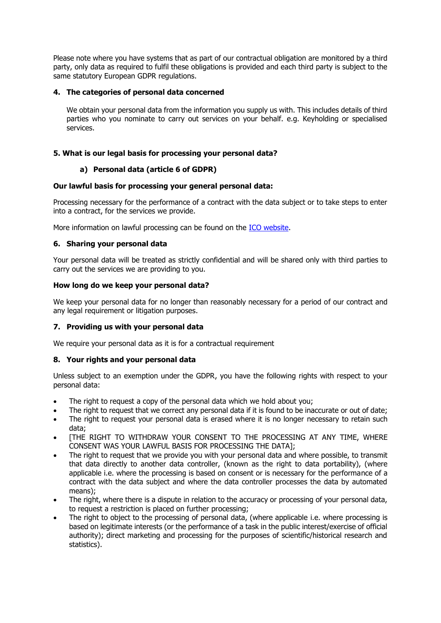Please note where you have systems that as part of our contractual obligation are monitored by a third party, only data as required to fulfil these obligations is provided and each third party is subject to the same statutory European GDPR regulations.

## **4. The categories of personal data concerned**

We obtain your personal data from the information you supply us with. This includes details of third parties who you nominate to carry out services on your behalf. e.g. Keyholding or specialised services.

# **5. What is our legal basis for processing your personal data?**

# **a) Personal data (article 6 of GDPR)**

# **Our lawful basis for processing your general personal data:**

Processing necessary for the performance of a contract with the data subject or to take steps to enter into a contract, for the services we provide.

More information on lawful processing can be found on the **ICO website**.

# **6. Sharing your personal data**

Your personal data will be treated as strictly confidential and will be shared only with third parties to carry out the services we are providing to you.

## **How long do we keep your personal data?**

We keep your personal data for no longer than reasonably necessary for a period of our contract and any legal requirement or litigation purposes.

# **7. Providing us with your personal data**

We require your personal data as it is for a contractual requirement

## **8. Your rights and your personal data**

Unless subject to an exemption under the GDPR, you have the following rights with respect to your personal data:

- The right to request a copy of the personal data which we hold about you;
- The right to request that we correct any personal data if it is found to be inaccurate or out of date;
- The right to request your personal data is erased where it is no longer necessary to retain such data;
- [THE RIGHT TO WITHDRAW YOUR CONSENT TO THE PROCESSING AT ANY TIME, WHERE CONSENT WAS YOUR LAWFUL BASIS FOR PROCESSING THE DATA];
- The right to request that we provide you with your personal data and where possible, to transmit that data directly to another data controller, (known as the right to data portability), (where applicable i.e. where the processing is based on consent or is necessary for the performance of a contract with the data subject and where the data controller processes the data by automated means);
- The right, where there is a dispute in relation to the accuracy or processing of your personal data, to request a restriction is placed on further processing;
- The right to object to the processing of personal data, (where applicable i.e. where processing is based on legitimate interests (or the performance of a task in the public interest/exercise of official authority); direct marketing and processing for the purposes of scientific/historical research and statistics).